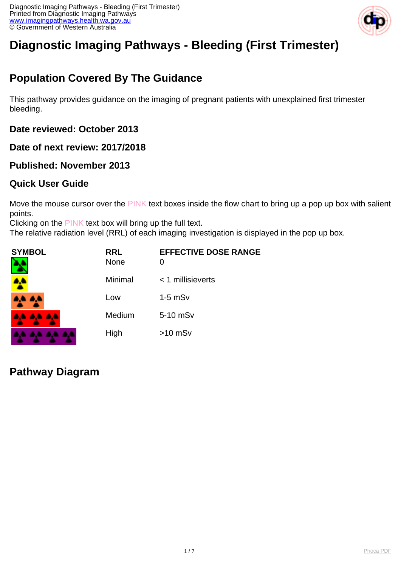

# **Diagnostic Imaging Pathways - Bleeding (First Trimester)**

## **Population Covered By The Guidance**

This pathway provides guidance on the imaging of pregnant patients with unexplained first trimester bleeding.

**Date reviewed: October 2013**

**Date of next review: 2017/2018**

#### **Published: November 2013**

#### **Quick User Guide**

Move the mouse cursor over the PINK text boxes inside the flow chart to bring up a pop up box with salient points.

Clicking on the PINK text box will bring up the full text.

The relative radiation level (RRL) of each imaging investigation is displayed in the pop up box.

| <b>SYMBOL</b> | <b>RRL</b><br><b>None</b> | <b>EFFECTIVE DOSE RANGE</b><br>0 |
|---------------|---------------------------|----------------------------------|
| <b>A</b>      | Minimal                   | $<$ 1 millisieverts              |
| 4,4 A,4       | Low                       | $1-5$ mS $v$                     |
| 8,6 8,6 8,6   | Medium                    | 5-10 mSv                         |
|               | High                      | $>10$ mSv                        |

**Pathway Diagram**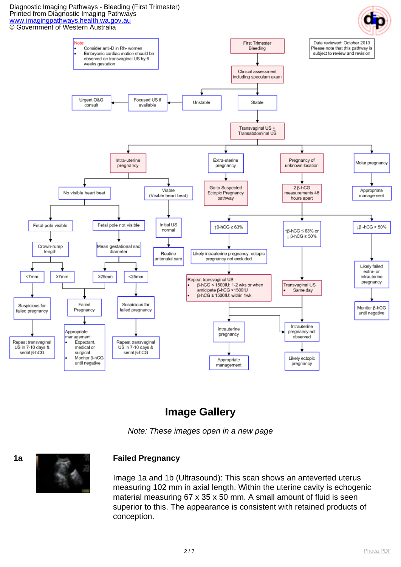#### Diagnostic Imaging Pathways - Bleeding (First Trimester) Printed from Diagnostic Imaging Pathways [www.imagingpathways.health.wa.gov.au](http://www.imagingpathways.health.wa.gov.au/) © Government of Western Australia



## **Image Gallery**

Note: These images open in a new page



#### **1a Failed Pregnancy**

Image 1a and 1b (Ultrasound): This scan shows an anteverted uterus measuring 102 mm in axial length. Within the uterine cavity is echogenic material measuring 67 x 35 x 50 mm. A small amount of fluid is seen superior to this. The appearance is consistent with retained products of conception.

$$
\overline{2/7}
$$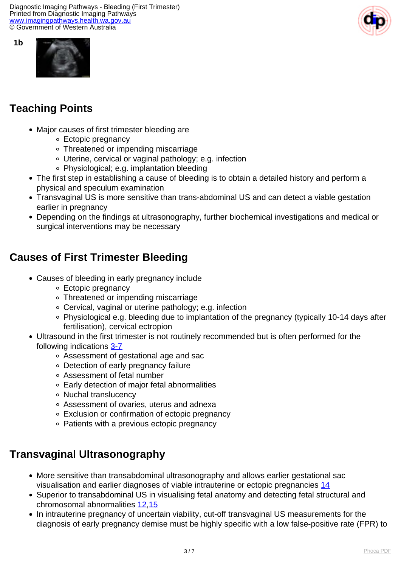Diagnostic Imaging Pathways - Bleeding (First Trimester) Printed from Diagnostic Imaging Pathways [www.imagingpathways.health.wa.gov.au](http://www.imagingpathways.health.wa.gov.au/) © Government of Western Australia





**1b**

## **Teaching Points**

- Major causes of first trimester bleeding are
	- Ectopic pregnancy
	- Threatened or impending miscarriage
	- Uterine, cervical or vaginal pathology; e.g. infection
	- Physiological; e.g. implantation bleeding
- The first step in establishing a cause of bleeding is to obtain a detailed history and perform a physical and speculum examination
- Transvaginal US is more sensitive than trans-abdominal US and can detect a viable gestation earlier in pregnancy
- Depending on the findings at ultrasonography, further biochemical investigations and medical or surgical interventions may be necessary

## **Causes of First Trimester Bleeding**

- Causes of bleeding in early pregnancy include
	- Ectopic pregnancy
	- Threatened or impending miscarriage
	- Cervical, vaginal or uterine pathology; e.g. infection
	- Physiological e.g. bleeding due to implantation of the pregnancy (typically 10-14 days after fertilisation), cervical ectropion
- Ultrasound in the first trimester is not routinely recommended but is often performed for the following indications [3-7](index.php/imaging-pathways/obstetric-gynaecological/first-trimester-bleeding?tab=References#3)
	- Assessment of gestational age and sac
	- Detection of early pregnancy failure
	- Assessment of fetal number
	- Early detection of major fetal abnormalities
	- o Nuchal translucency
	- Assessment of ovaries, uterus and adnexa
	- Exclusion or confirmation of ectopic pregnancy
	- Patients with a previous ectopic pregnancy

### **Transvaginal Ultrasonography**

- More sensitive than transabdominal ultrasonography and allows earlier gestational sac visualisation and earlier diagnoses of viable intrauterine or ectopic pregnancies [14](index.php/imaging-pathways/obstetric-gynaecological/first-trimester-bleeding?tab=References#14)
- Superior to transabdominal US in visualising fetal anatomy and detecting fetal structural and chromosomal abnormalities [12,](index.php/imaging-pathways/obstetric-gynaecological/first-trimester-bleeding?tab=References#12)[15](index.php/imaging-pathways/obstetric-gynaecological/first-trimester-bleeding?tab=References#15)
- In intrauterine pregnancy of uncertain viability, cut-off transvaginal US measurements for the diagnosis of early pregnancy demise must be highly specific with a low false-positive rate (FPR) to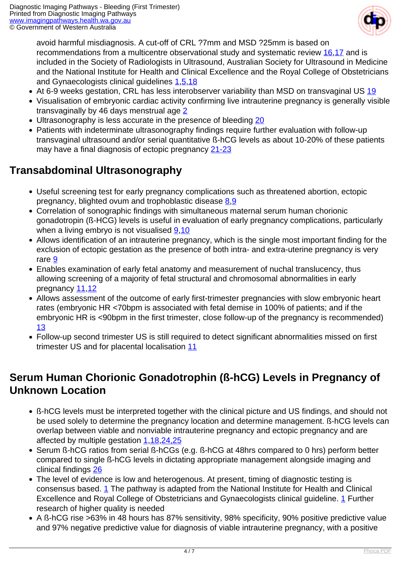

avoid harmful misdiagnosis. A cut-off of CRL ?7mm and MSD ?25mm is based on recommendations from a multicentre observational study and systematic review [16,](index.php/imaging-pathways/obstetric-gynaecological/first-trimester-bleeding?tab=References#16)[17](index.php/imaging-pathways/obstetric-gynaecological/first-trimester-bleeding?tab=References#17) and is included in the Society of Radiologists in Ultrasound, Australian Society for Ultrasound in Medicine and the National Institute for Health and Clinical Excellence and the Royal College of Obstetricians and Gynaecologists clinical guidelines [1](index.php/imaging-pathways/obstetric-gynaecological/first-trimester-bleeding?tab=References#1),[5](index.php/imaging-pathways/obstetric-gynaecological/first-trimester-bleeding?tab=References#5),[18](index.php/imaging-pathways/obstetric-gynaecological/first-trimester-bleeding?tab=References#18)

- At 6-9 weeks gestation, CRL has less interobserver variability than MSD on transvaginal US [19](index.php/imaging-pathways/obstetric-gynaecological/first-trimester-bleeding?tab=References#19)
- Visualisation of embryonic cardiac activity confirming live intrauterine pregnancy is generally visible transvaginally by 46 days menstrual age [2](index.php/imaging-pathways/obstetric-gynaecological/first-trimester-bleeding?tab=References#2)
- Ultrasonography is less accurate in the presence of bleeding [20](index.php/imaging-pathways/obstetric-gynaecological/first-trimester-bleeding?tab=References#20)
- Patients with indeterminate ultrasonography findings require further evaluation with follow-up transvaginal ultrasound and/or serial quantitative ß-hCG levels as about 10-20% of these patients may have a final diagnosis of ectopic pregnancy [21-23](index.php/imaging-pathways/obstetric-gynaecological/first-trimester-bleeding?tab=References#21-23)

### **Transabdominal Ultrasonography**

- Useful screening test for early pregnancy complications such as threatened abortion, ectopic pregnancy, blighted ovum and trophoblastic disease [8](index.php/imaging-pathways/obstetric-gynaecological/first-trimester-bleeding?tab=References#8)[,9](index.php/imaging-pathways/obstetric-gynaecological/first-trimester-bleeding?tab=References#9)
- Correlation of sonographic findings with simultaneous maternal serum human chorionic gonadotropin (ß-HCG) levels is useful in evaluation of early pregnancy complications, particularly when a living embryo is not visualised  $9,10$  $9,10$
- Allows identification of an intrauterine pregnancy, which is the single most important finding for the exclusion of ectopic gestation as the presence of both intra- and extra-uterine pregnancy is very rare [9](index.php/imaging-pathways/obstetric-gynaecological/first-trimester-bleeding?tab=References#9)
- Enables examination of early fetal anatomy and measurement of nuchal translucency, thus allowing screening of a majority of fetal structural and chromosomal abnormalities in early pregnancy [11](index.php/imaging-pathways/obstetric-gynaecological/first-trimester-bleeding?tab=References#11)[,12](index.php/imaging-pathways/obstetric-gynaecological/first-trimester-bleeding?tab=References#12)
- Allows assessment of the outcome of early first-trimester pregnancies with slow embryonic heart rates (embryonic HR <70bpm is associated with fetal demise in 100% of patients; and if the embryonic HR is <90bpm in the first trimester, close follow-up of the pregnancy is recommended) [13](index.php/imaging-pathways/obstetric-gynaecological/first-trimester-bleeding?tab=References#13)
- Follow-up second trimester US is still required to detect significant abnormalities missed on first trimester US and for placental localisation [11](index.php/imaging-pathways/obstetric-gynaecological/first-trimester-bleeding?tab=References#11)

### **Serum Human Chorionic Gonadotrophin (ß-hCG) Levels in Pregnancy of Unknown Location**

- ß-hCG levels must be interpreted together with the clinical picture and US findings, and should not be used solely to determine the pregnancy location and determine management. ß-hCG levels can overlap between viable and nonviable intrauterine pregnancy and ectopic pregnancy and are affected by multiple gestation [1,](index.php/imaging-pathways/obstetric-gynaecological/first-trimester-bleeding?tab=References#1)[18](index.php/imaging-pathways/obstetric-gynaecological/first-trimester-bleeding?tab=References#18),[24,25](index.php/imaging-pathways/obstetric-gynaecological/first-trimester-bleeding?tab=References#24,25)
- Serum ß-hCG ratios from serial ß-hCGs (e.g. ß-hCG at 48hrs compared to 0 hrs) perform better compared to single ß-hCG levels in dictating appropriate management alongside imaging and clinical findings [26](index.php/imaging-pathways/obstetric-gynaecological/first-trimester-bleeding?tab=References#26)
- The level of evidence is low and heterogenous. At present, timing of diagnostic testing is consensus based. [1](index.php/imaging-pathways/obstetric-gynaecological/first-trimester-bleeding?tab=References#1) The pathway is adapted from the National Institute for Health and Clinical Excellence and Royal College of Obstetricians and Gynaecologists clinical guideline. [1](index.php/imaging-pathways/obstetric-gynaecological/first-trimester-bleeding?tab=References#1) Further research of higher quality is needed
- A ß-hCG rise >63% in 48 hours has 87% sensitivity, 98% specificity, 90% positive predictive value and 97% negative predictive value for diagnosis of viable intrauterine pregnancy, with a positive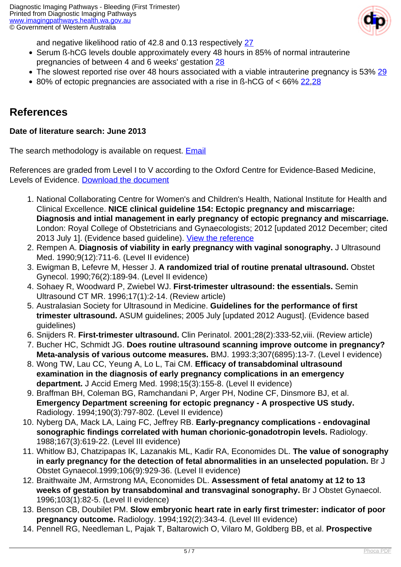

and negative likelihood ratio of 42.8 and 0.13 respectively [27](index.php/imaging-pathways/obstetric-gynaecological/first-trimester-bleeding?tab=References#27)

- Serum ß-hCG levels double approximately every 48 hours in 85% of normal intrauterine pregnancies of between 4 and 6 weeks' gestation [28](index.php/imaging-pathways/obstetric-gynaecological/first-trimester-bleeding?tab=References#28)
- The slowest reported rise over 48 hours associated with a viable intrauterine pregnancy is 53% [29](index.php/imaging-pathways/obstetric-gynaecological/first-trimester-bleeding?tab=References#29)
- $\bullet$  80% of ectopic pregnancies are associated with a rise in ß-hCG of < 66% [22](index.php/imaging-pathways/obstetric-gynaecological/first-trimester-bleeding?tab=References#22)[,28](index.php/imaging-pathways/obstetric-gynaecological/first-trimester-bleeding?tab=References#28)

#### **References**

#### **Date of literature search: June 2013**

The search methodology is available on request. [Email](index.php/contact-us)

References are graded from Level I to V according to the Oxford Centre for Evidence-Based Medicine, Levels of Evidence. [Download the document](http://www.cebm.net/wp-content/uploads/2014/06/CEBM-Levels-of-Evidence-2.1.pdf)

- 1. National Collaborating Centre for Women's and Children's Health, National Institute for Health and Clinical Excellence. **NICE clinical guideline 154: Ectopic pregnancy and miscarriage: Diagnosis and intial management in early pregnancy of ectopic pregnancy and miscarriage.** London: Royal College of Obstetricians and Gynaecologists; 2012 [updated 2012 December; cited 2013 July 1]. (Evidence based guideline). [View the reference](http://www.nice.org.uk/guidance/cg154)
- 2. Rempen A. **Diagnosis of viability in early pregnancy with vaginal sonography.** J Ultrasound Med. 1990;9(12):711-6. (Level II evidence)
- 3. Ewigman B, Lefevre M, Hesser J. **A randomized trial of routine prenatal ultrasound.** Obstet Gynecol. 1990;76(2):189-94. (Level II evidence)
- 4. Sohaey R, Woodward P, Zwiebel WJ. **First-trimester ultrasound: the essentials.** Semin Ultrasound CT MR. 1996;17(1):2-14. (Review article)
- 5. Australasian Society for Ultrasound in Medicine. **Guidelines for the performance of first trimester ultrasound.** ASUM guidelines; 2005 July [updated 2012 August]. (Evidence based guidelines)
- 6. Snijders R. **First-trimester ultrasound.** Clin Perinatol. 2001;28(2):333-52,viii. (Review article)
- 7. Bucher HC, Schmidt JG. **Does routine ultrasound scanning improve outcome in pregnancy? Meta-analysis of various outcome measures.** BMJ. 1993:3;307(6895):13-7. (Level I evidence)
- 8. Wong TW, Lau CC, Yeung A, Lo L, Tai CM. **Efficacy of transabdominal ultrasound examination in the diagnosis of early pregnancy complications in an emergency department.** J Accid Emerg Med. 1998;15(3):155-8. (Level II evidence)
- 9. Braffman BH, Coleman BG, Ramchandani P, Arger PH, Nodine CF, Dinsmore BJ, et al. **Emergency Department screening for ectopic pregnancy - A prospective US study.** Radiology. 1994;190(3):797-802. (Level II evidence)
- 10. Nyberg DA, Mack LA, Laing FC, Jeffrey RB. **Early-pregnancy complications endovaginal sonographic findings correlated with human chorionic-gonadotropin levels.** Radiology. 1988;167(3):619-22. (Level III evidence)
- 11. Whitlow BJ, Chatzipapas IK, Lazanakis ML, Kadir RA, Economides DL. **The value of sonography in early pregnancy for the detection of fetal abnormalities in an unselected population.** Br J Obstet Gynaecol.1999;106(9):929-36. (Level II evidence)
- 12. Braithwaite JM, Armstrong MA, Economides DL. **Assessment of fetal anatomy at 12 to 13 weeks of gestation by transabdominal and transvaginal sonography.** Br J Obstet Gynaecol. 1996;103(1):82-5. (Level II evidence)
- 13. Benson CB, Doubilet PM. **Slow embryonic heart rate in early first trimester: indicator of poor pregnancy outcome.** Radiology. 1994;192(2):343-4. (Level III evidence)
- 14. Pennell RG, Needleman L, Pajak T, Baltarowich O, Vilaro M, Goldberg BB, et al. **Prospective**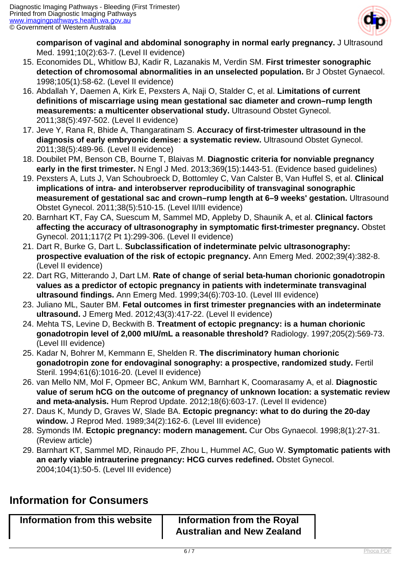

**comparison of vaginal and abdominal sonography in normal early pregnancy.** J Ultrasound Med. 1991;10(2):63-7. (Level II evidence)

- 15. Economides DL, Whitlow BJ, Kadir R, Lazanakis M, Verdin SM. **First trimester sonographic detection of chromosomal abnormalities in an unselected population.** Br J Obstet Gynaecol. 1998;105(1):58-62. (Level II evidence)
- 16. Abdallah Y, Daemen A, Kirk E, Pexsters A, Naji O, Stalder C, et al. **Limitations of current definitions of miscarriage using mean gestational sac diameter and crown–rump length measurements: a multicenter observational study.** Ultrasound Obstet Gynecol. 2011;38(5):497-502. (Level II evidence)
- 17. Jeve Y, Rana R, Bhide A, Thangaratinam S. **Accuracy of first-trimester ultrasound in the diagnosis of early embryonic demise: a systematic review.** Ultrasound Obstet Gynecol. 2011;38(5):489-96. (Level II evidence)
- 18. Doubilet PM, Benson CB, Bourne T, Blaivas M. **Diagnostic criteria for nonviable pregnancy early in the first trimester.** N Engl J Med. 2013;369(15):1443-51. (Evidence based guidelines)
- 19. Pexsters A, Luts J, Van Schoubroeck D, Bottomley C, Van Calster B, Van Huffel S, et al. **Clinical implications of intra- and interobserver reproducibility of transvaginal sonographic measurement of gestational sac and crown–rump length at 6–9 weeks' gestation.** Ultrasound Obstet Gynecol. 2011;38(5):510-15. (Level II/III evidence)
- 20. Barnhart KT, Fay CA, Suescum M, Sammel MD, Appleby D, Shaunik A, et al. **Clinical factors affecting the accuracy of ultrasonography in symptomatic first-trimester pregnancy.** Obstet Gynecol. 2011;117(2 Pt 1):299-306. (Level II evidence)
- 21. Dart R, Burke G, Dart L. **Subclassification of indeterminate pelvic ultrasonography: prospective evaluation of the risk of ectopic pregnancy.** Ann Emerg Med. 2002;39(4):382-8. (Level II evidence)
- 22. Dart RG, Mitterando J, Dart LM. **Rate of change of serial beta-human chorionic gonadotropin values as a predictor of ectopic pregnancy in patients with indeterminate transvaginal ultrasound findings.** Ann Emerg Med. 1999;34(6):703-10. (Level III evidence)
- 23. Juliano ML, Sauter BM. **Fetal outcomes in first trimester pregnancies with an indeterminate ultrasound.** J Emerg Med. 2012;43(3):417-22. (Level II evidence)
- 24. Mehta TS, Levine D, Beckwith B. **Treatment of ectopic pregnancy: is a human chorionic gonadotropin level of 2,000 mIU/mL a reasonable threshold?** Radiology. 1997;205(2):569-73. (Level III evidence)
- 25. Kadar N, Bohrer M, Kemmann E, Shelden R. **The discriminatory human chorionic gonadotropin zone for endovaginal sonography: a prospective, randomized study.** Fertil Steril. 1994;61(6):1016-20. (Level II evidence)
- 26. van Mello NM, Mol F, Opmeer BC, Ankum WM, Barnhart K, Coomarasamy A, et al. **Diagnostic value of serum hCG on the outcome of pregnancy of unknown location: a systematic review and meta-analysis.** Hum Reprod Update. 2012;18(6):603-17. (Level II evidence)
- 27. Daus K, Mundy D, Graves W, Slade BA. **Ectopic pregnancy: what to do during the 20-day window.** J Reprod Med. 1989;34(2):162-6. (Level III evidence)
- 28. Symonds IM. **Ectopic pregnancy: modern management.** Cur Obs Gynaecol. 1998;8(1):27-31. (Review article)
- 29. Barnhart KT, Sammel MD, Rinaudo PF, Zhou L, Hummel AC, Guo W. **Symptomatic patients with an early viable intrauterine pregnancy: HCG curves redefined.** Obstet Gynecol. 2004;104(1):50-5. (Level III evidence)

### **Information for Consumers**

| Information from this website | Information from the Royal        |
|-------------------------------|-----------------------------------|
|                               | <b>Australian and New Zealand</b> |